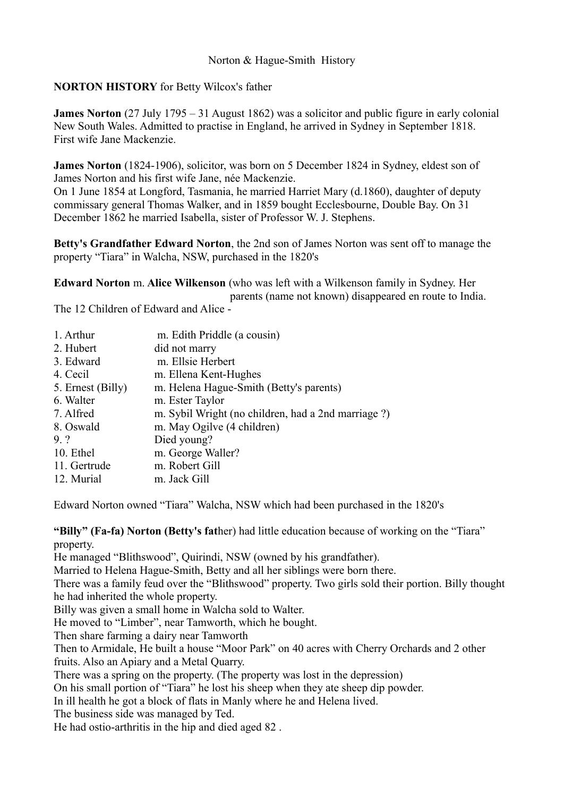# **NORTON HISTORY** for Betty Wilcox's father

**James Norton** (27 July 1795 – 31 August 1862) was a solicitor and public figure in early colonial New South Wales. Admitted to practise in England, he arrived in Sydney in September 1818. First wife Jane Mackenzie.

**James Norton** (1824-1906), solicitor, was born on 5 December 1824 in Sydney, eldest son of James Norton and his first wife Jane, née Mackenzie.

On 1 June 1854 at Longford, Tasmania, he married Harriet Mary (d.1860), daughter of deputy commissary general Thomas Walker, and in 1859 bought Ecclesbourne, Double Bay. On 31 December 1862 he married Isabella, sister of Professor W. J. Stephens.

**Betty's Grandfather Edward Norton**, the 2nd son of James Norton was sent off to manage the property "Tiara" in Walcha, NSW, purchased in the 1820's

**Edward Norton** m. **Alice Wilkenson** (who was left with a Wilkenson family in Sydney. Her parents (name not known) disappeared en route to India.

The 12 Children of Edward and Alice -

| 1. Arthur         | m. Edith Priddle (a cousin)                        |
|-------------------|----------------------------------------------------|
| 2. Hubert         | did not marry                                      |
| 3. Edward         | m. Ellsie Herbert                                  |
| 4. Cecil          | m. Ellena Kent-Hughes                              |
| 5. Ernest (Billy) | m. Helena Hague-Smith (Betty's parents)            |
| 6. Walter         | m. Ester Taylor                                    |
| 7. Alfred         | m. Sybil Wright (no children, had a 2nd marriage?) |
| 8. Oswald         | m. May Ogilve (4 children)                         |
| 9.?               | Died young?                                        |
| 10. Ethel         | m. George Waller?                                  |
| 11. Gertrude      | m. Robert Gill                                     |
| 12. Murial        | m. Jack Gill                                       |
|                   |                                                    |

Edward Norton owned "Tiara" Walcha, NSW which had been purchased in the 1820's

#### **"Billy" (Fa-fa) Norton (Betty's fat**her) had little education because of working on the "Tiara" property.

He managed "Blithswood", Quirindi, NSW (owned by his grandfather).

Married to Helena Hague-Smith, Betty and all her siblings were born there.

There was a family feud over the "Blithswood" property. Two girls sold their portion. Billy thought he had inherited the whole property.

Billy was given a small home in Walcha sold to Walter.

He moved to "Limber", near Tamworth, which he bought.

Then share farming a dairy near Tamworth

Then to Armidale, He built a house "Moor Park" on 40 acres with Cherry Orchards and 2 other fruits. Also an Apiary and a Metal Quarry.

There was a spring on the property. (The property was lost in the depression)

On his small portion of "Tiara" he lost his sheep when they ate sheep dip powder.

In ill health he got a block of flats in Manly where he and Helena lived.

The business side was managed by Ted.

He had ostio-arthritis in the hip and died aged 82 .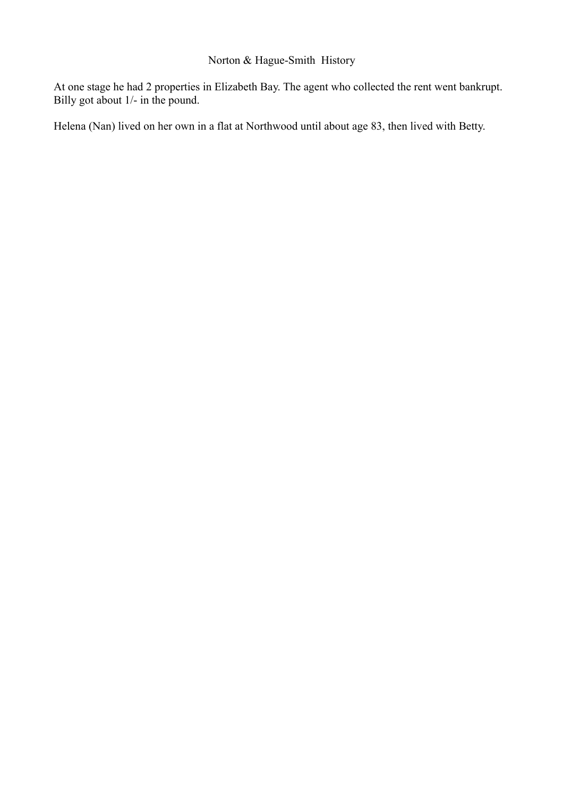# Norton & Hague-Smith History

At one stage he had 2 properties in Elizabeth Bay. The agent who collected the rent went bankrupt. Billy got about 1/- in the pound.

Helena (Nan) lived on her own in a flat at Northwood until about age 83, then lived with Betty.